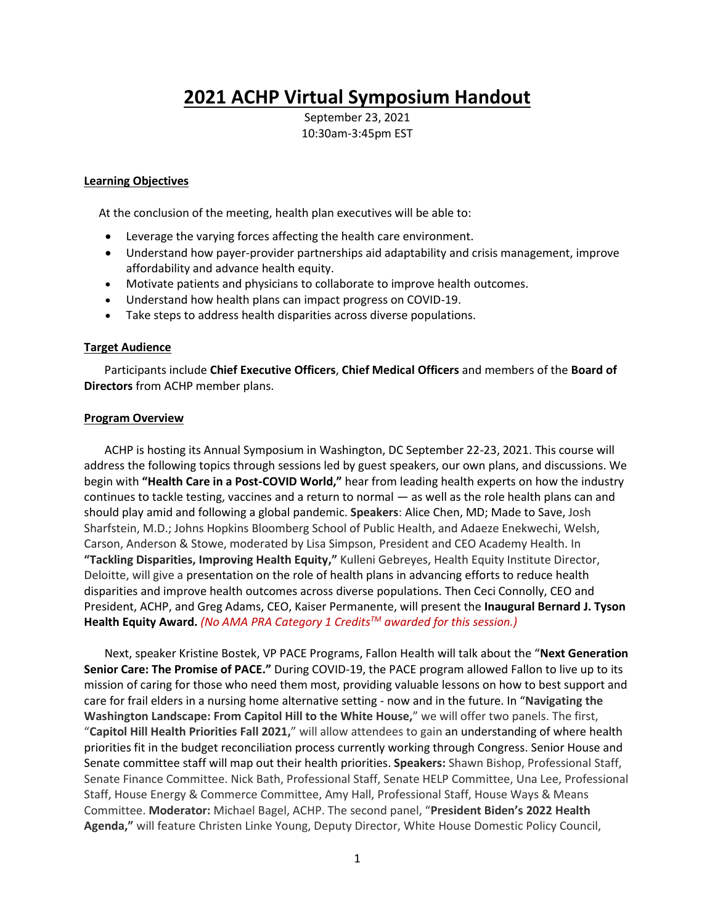# **2021 ACHP Virtual Symposium Handout**

September 23, 2021 10:30am-3:45pm EST

#### **Learning Objectives**

At the conclusion of the meeting, health plan executives will be able to:

- Leverage the varying forces affecting the health care environment.
- Understand how payer-provider partnerships aid adaptability and crisis management, improve affordability and advance health equity.
- Motivate patients and physicians to collaborate to improve health outcomes.
- Understand how health plans can impact progress on COVID-19.
- Take steps to address health disparities across diverse populations.

#### **Target Audience**

 Participants include **Chief Executive Officers**, **Chief Medical Officers** and members of the **Board of Directors** from ACHP member plans.

#### **Program Overview**

 ACHP is hosting its Annual Symposium in Washington, DC September 22-23, 2021. This course will address the following topics through sessions led by guest speakers, our own plans, and discussions. We begin with **"Health Care in a Post-COVID World,"** hear from leading health experts on how the industry continues to tackle testing, vaccines and a return to normal — as well as the role health plans can and should play amid and following a global pandemic. **Speakers**: Alice Chen, MD; Made to Save, Josh Sharfstein, M.D.; Johns Hopkins Bloomberg School of Public Health, and Adaeze Enekwechi, Welsh, Carson, Anderson & Stowe, moderated by Lisa Simpson, President and CEO Academy Health. In **"Tackling Disparities, Improving Health Equity,"** Kulleni Gebreyes, Health Equity Institute Director, Deloitte, will give a presentation on the role of health plans in advancing efforts to reduce health disparities and improve health outcomes across diverse populations. Then Ceci Connolly, CEO and President, ACHP, and Greg Adams, CEO, Kaiser Permanente, will present the **Inaugural Bernard J. Tyson Health Equity Award.** *(No AMA PRA Category 1 CreditsTM awarded for this session.)* 

 Next, speaker Kristine Bostek, VP PACE Programs, Fallon Health will talk about the "**Next Generation Senior Care: The Promise of PACE."** During COVID-19, the PACE program allowed Fallon to live up to its mission of caring for those who need them most, providing valuable lessons on how to best support and care for frail elders in a nursing home alternative setting - now and in the future. In "**Navigating the Washington Landscape: From Capitol Hill to the White House,**" we will offer two panels. The first, "**Capitol Hill Health Priorities Fall 2021,**" will allow attendees to gain an understanding of where health priorities fit in the budget reconciliation process currently working through Congress. Senior House and Senate committee staff will map out their health priorities. **Speakers:** Shawn Bishop, Professional Staff, Senate Finance Committee. Nick Bath, Professional Staff, Senate HELP Committee, Una Lee, Professional Staff, House Energy & Commerce Committee, Amy Hall, Professional Staff, House Ways & Means Committee. **Moderator:** Michael Bagel, ACHP. The second panel, "**President Biden's 2022 Health Agenda,"** will feature Christen Linke Young, Deputy Director, White House Domestic Policy Council,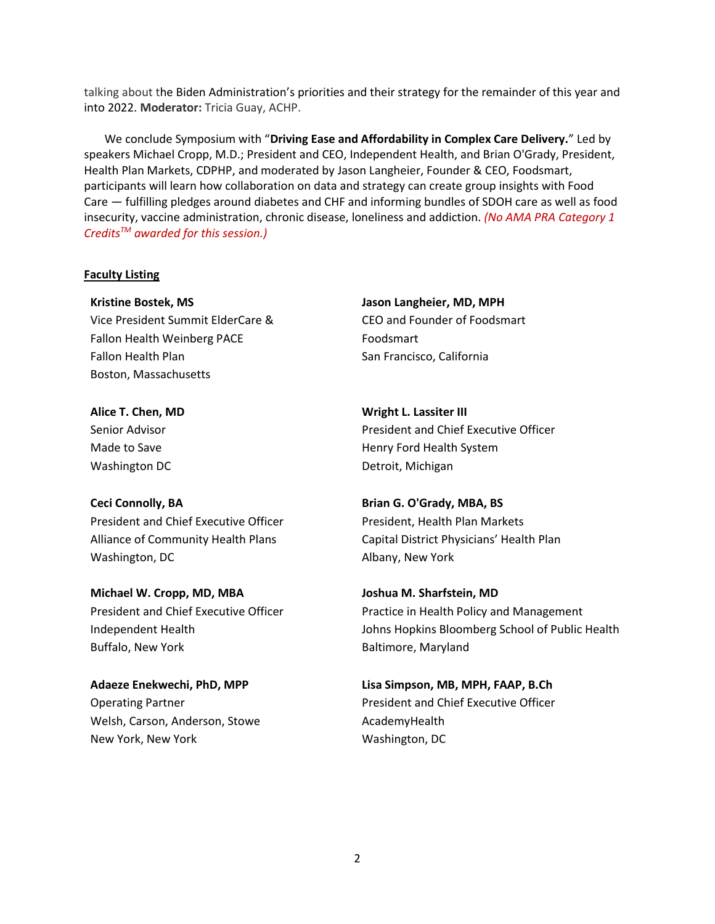talking about the Biden Administration's priorities and their strategy for the remainder of this year and into 2022. **Moderator:** Tricia Guay, ACHP.

 We conclude Symposium with "**Driving Ease and Affordability in Complex Care Delivery.**" Led by speakers Michael Cropp, M.D.; President and CEO, Independent Health, and Brian O'Grady, President, Health Plan Markets, CDPHP, and moderated by Jason Langheier, Founder & CEO, Foodsmart, participants will learn how collaboration on data and strategy can create group insights with Food Care — fulfilling pledges around diabetes and CHF and informing bundles of SDOH care as well as food insecurity, vaccine administration, chronic disease, loneliness and addiction. *(No AMA PRA Category 1 CreditsTM awarded for this session.)* 

#### **Faculty Listing**

**Kristine Bostek, MS** Vice President Summit ElderCare & Fallon Health Weinberg PACE Fallon Health Plan Boston, Massachusetts

**Jason Langheier, MD, MPH** CEO and Founder of Foodsmart Foodsmart San Francisco, California

**Alice T. Chen, MD** Senior Advisor Made to Save Washington DC

#### **Ceci Connolly, BA**

President and Chief Executive Officer Alliance of Community Health Plans Washington, DC

**Michael W. Cropp, MD, MBA** President and Chief Executive Officer Independent Health Buffalo, New York

**Adaeze Enekwechi, PhD, MPP** Operating Partner Welsh, Carson, Anderson, Stowe New York, New York

**Wright L. Lassiter III** President and Chief Executive Officer Henry Ford Health System Detroit, Michigan

**Brian G. O'Grady, MBA, BS** President, Health Plan Markets Capital District Physicians' Health Plan Albany, New York

**Joshua M. Sharfstein, MD** Practice in Health Policy and Management Johns Hopkins Bloomberg School of Public Health Baltimore, Maryland

**Lisa Simpson, MB, MPH, FAAP, B.Ch** President and Chief Executive Officer AcademyHealth Washington, DC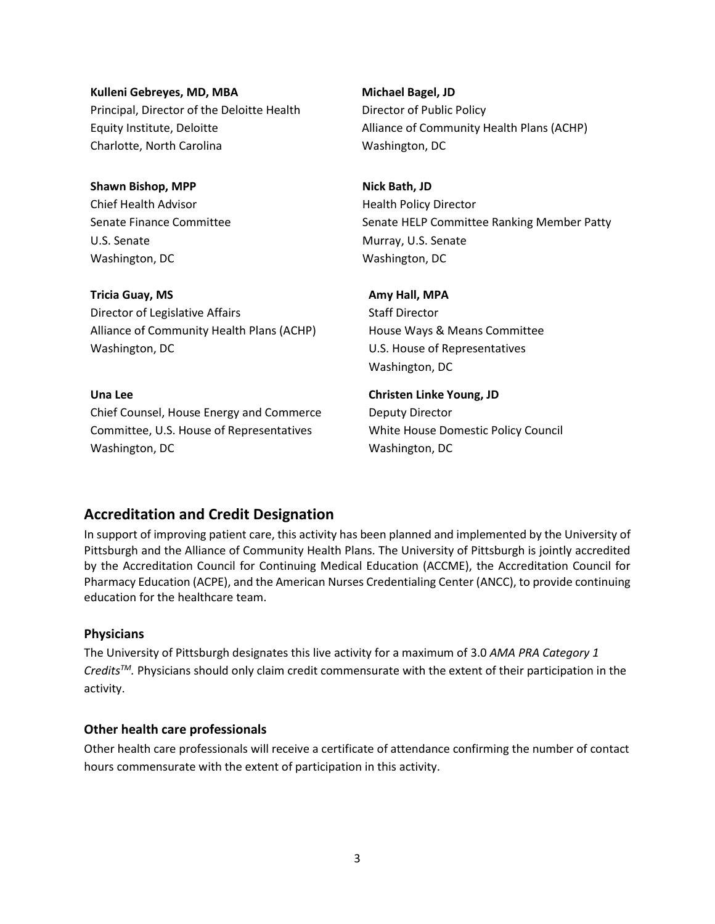**Kulleni Gebreyes, MD, MBA** Principal, Director of the Deloitte Health Equity Institute, Deloitte Charlotte, North Carolina

**Shawn Bishop, MPP** Chief Health Advisor Senate Finance Committee U.S. Senate Washington, DC

**Tricia Guay, MS** Director of Legislative Affairs Alliance of Community Health Plans (ACHP) Washington, DC

#### **Una Lee**

Chief Counsel, House Energy and Commerce Committee, U.S. House of Representatives Washington, DC

**Michael Bagel, JD** Director of Public Policy Alliance of Community Health Plans (ACHP) Washington, DC

**Nick Bath, JD** Health Policy Director Senate HELP Committee Ranking Member Patty Murray, U.S. Senate Washington, DC

#### **Amy Hall, MPA**

Staff Director House Ways & Means Committee U.S. House of Representatives Washington, DC

#### **Christen Linke Young, JD**

Deputy Director White House Domestic Policy Council Washington, DC

## **Accreditation and Credit Designation**

In support of improving patient care, this activity has been planned and implemented by the University of Pittsburgh and the Alliance of Community Health Plans. The University of Pittsburgh is jointly accredited by the Accreditation Council for Continuing Medical Education (ACCME), the Accreditation Council for Pharmacy Education (ACPE), and the American Nurses Credentialing Center (ANCC), to provide continuing education for the healthcare team.

#### **Physicians**

The University of Pittsburgh designates this live activity for a maximum of 3.0 *AMA PRA Category 1 CreditsTM.* Physicians should only claim credit commensurate with the extent of their participation in the activity.

#### **Other health care professionals**

Other health care professionals will receive a certificate of attendance confirming the number of contact hours commensurate with the extent of participation in this activity.